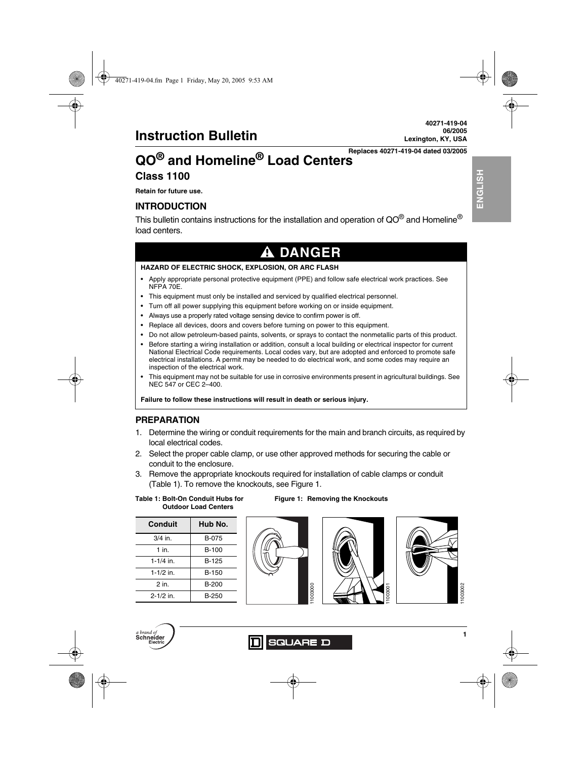# **QO® and Homeline® Load Centers Class 1100**

**Retain for future use.**

## **INTRODUCTION**

This bulletin contains instructions for the installation and operation of QO® and Homeline® load centers.

# **A DANGER**

#### **HAZARD OF ELECTRIC SHOCK, EXPLOSION, OR ARC FLASH**

- Apply appropriate personal protective equipment (PPE) and follow safe electrical work practices. See NFPA 70E.
- This equipment must only be installed and serviced by qualified electrical personnel.
- Turn off all power supplying this equipment before working on or inside equipment.
- Always use a properly rated voltage sensing device to confirm power is off.
- Replace all devices, doors and covers before turning on power to this equipment.
- Do not allow petroleum-based paints, solvents, or sprays to contact the nonmetallic parts of this product.
- Before starting a wiring installation or addition, consult a local building or electrical inspector for current National Electrical Code requirements. Local codes vary, but are adopted and enforced to promote safe electrical installations. A permit may be needed to do electrical work, and some codes may require an inspection of the electrical work.
- This equipment may not be suitable for use in corrosive environments present in agricultural buildings. See NEC 547 or CEC 2–400.

**Failure to follow these instructions will result in death or serious injury.**

## **PREPARATION**

- 1. Determine the wiring or conduit requirements for the main and branch circuits, as required by local electrical codes.
- 2. Select the proper cable clamp, or use other approved methods for securing the cable or conduit to the enclosure.
- 3. Remove the appropriate knockouts required for installation of cable clamps or conduit (Table 1). To remove the knockouts, see Figure 1.

**Table 1: Bolt-On Conduit Hubs for Outdoor Load Centers**

| Conduit       | Hub No.      |
|---------------|--------------|
| $3/4$ in.     | B-075        |
| $1$ in        | B-100        |
| $1 - 1/4$ in. | B-125        |
| $1-1/2$ in.   | B-150        |
| 2 in.         | <b>B-200</b> |
| $2 - 1/2$ in. | B-250        |





**Figure 1: Removing the Knockouts**



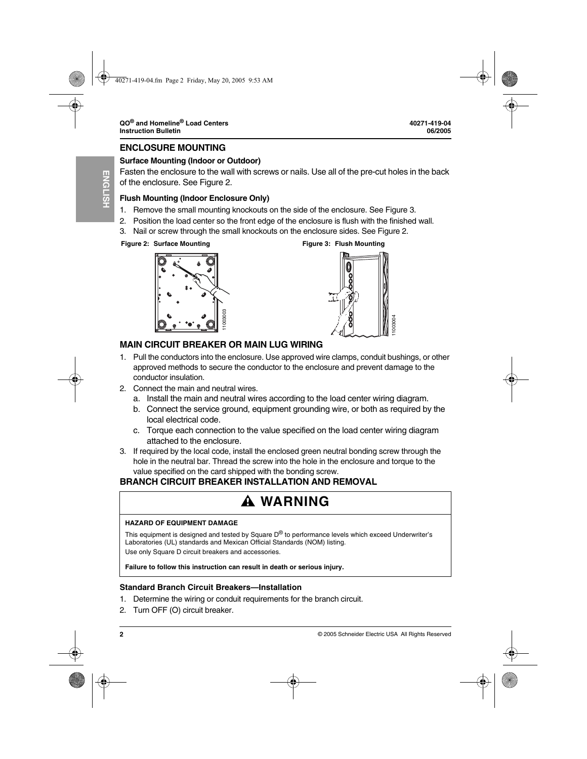#### **ENCLOSURE MOUNTING**

## **Surface Mounting (Indoor or Outdoor)**

Fasten the enclosure to the wall with screws or nails. Use all of the pre-cut holes in the back of the enclosure. See Figure 2.

## **Flush Mounting (Indoor Enclosure Only)**

- 1. Remove the small mounting knockouts on the side of the enclosure. See Figure 3.
- 2. Position the load center so the front edge of the enclosure is flush with the finished wall.
- 3. Nail or screw through the small knockouts on the enclosure sides. See Figure 2.

#### **Figure 2: Surface Mounting Figure 3: Flush Mounting**





## **MAIN CIRCUIT BREAKER OR MAIN LUG WIRING**

- 1. Pull the conductors into the enclosure. Use approved wire clamps, conduit bushings, or other approved methods to secure the conductor to the enclosure and prevent damage to the conductor insulation. **Failure to follow the follow this instruction can result in death or serious conductor insulation.**<br> **Failure to follow the encoductor insulation.**<br> **Failure to follow the encoductor insulation.**<br> **Failure to follow the**
- 2. Connect the main and neutral wires.
	- a. Install the main and neutral wires according to the load center wiring diagram.
	- b. Connect the service ground, equipment grounding wire, or both as required by the local electrical code.
	- c. Torque each connection to the value specified on the load center wiring diagram attached to the enclosure.
- 3. If required by the local code, install the enclosed green neutral bonding screw through the hole in the neutral bar. Thread the screw into the hole in the enclosure and torque to the value specified on the card shipped with the bonding screw.

## **BRANCH CIRCUIT BREAKER INSTALLATION AND REMOVAL**

# **WARNING**

#### **HAZARD OF EQUIPMENT DAMAGE**

This equipment is designed and tested by Square  $D^{\circledR}$  to performance levels which exceed Underwriter's Laboratories (UL) standards and Mexican Official Standards (NOM) listing. Use only Square D circuit breakers and accessories.

## **Standard Branch Circuit Breakers—Installation**

- 1. Determine the wiring or conduit requirements for the branch circuit.
- 2. Turn OFF (O) circuit breaker.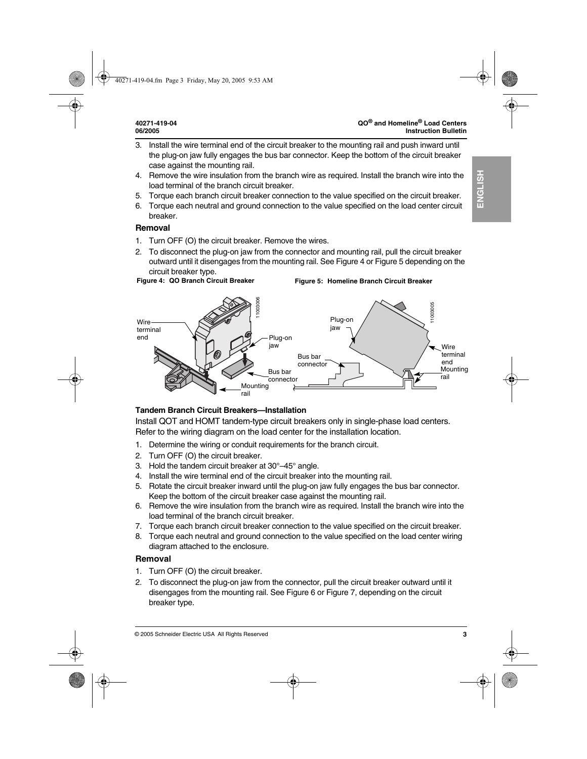- 3. Install the wire terminal end of the circuit breaker to the mounting rail and push inward until the plug-on jaw fully engages the bus bar connector. Keep the bottom of the circuit breaker case against the mounting rail.
- 4. Remove the wire insulation from the branch wire as required. Install the branch wire into the load terminal of the branch circuit breaker.
- 5. Torque each branch circuit breaker connection to the value specified on the circuit breaker.
- 6. Torque each neutral and ground connection to the value specified on the load center circuit breaker.

## **Removal**

- 1. Turn OFF (O) the circuit breaker. Remove the wires.
- 2. To disconnect the plug-on jaw from the connector and mounting rail, pull the circuit breaker outward until it disengages from the mounting rail. See Figure 4 or Figure 5 depending on the circuit breaker type.

**Figure 5: Homeline Branch Circuit Breaker**

#### **Figure 4: QO Branch Circuit Breaker**



# **Tandem Branch Circuit Breakers—Installation**

Install QOT and HOMT tandem-type circuit breakers only in single-phase load centers. Refer to the wiring diagram on the load center for the installation location.

- 1. Determine the wiring or conduit requirements for the branch circuit.
- 2. Turn OFF (O) the circuit breaker.
- 3. Hold the tandem circuit breaker at 30°–45° angle.
- 4. Install the wire terminal end of the circuit breaker into the mounting rail.
- 5. Rotate the circuit breaker inward until the plug-on jaw fully engages the bus bar connector. Keep the bottom of the circuit breaker case against the mounting rail.
- 6. Remove the wire insulation from the branch wire as required. Install the branch wire into the load terminal of the branch circuit breaker.
- 7. Torque each branch circuit breaker connection to the value specified on the circuit breaker.
- 8. Torque each neutral and ground connection to the value specified on the load center wiring diagram attached to the enclosure.

## **Removal**

- 1. Turn OFF (O) the circuit breaker.
- 2. To disconnect the plug-on jaw from the connector, pull the circuit breaker outward until it disengages from the mounting rail. See Figure 6 or Figure 7, depending on the circuit breaker type.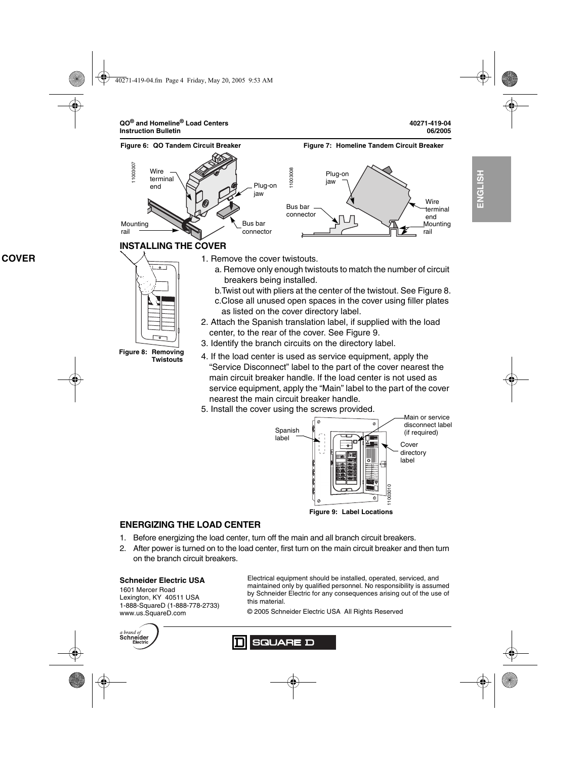**ENGLISH**

**HSITDNE** 



5. Install the cover using the screws provided.



## **ENERGIZING THE LOAD CENTER**

- 1. Before energizing the load center, turn off the main and all branch circuit breakers.
- 2. After power is turned on to the load center, first turn on the main circuit breaker and then turn on the branch circuit breakers.

## **Schneider Electric USA**

1601 Mercer Road Lexington, KY 40511 USA 1-888-SquareD (1-888-778-2733) www.us.SquareD.com

Electrical equipment should be installed, operated, serviced, and maintained only by qualified personnel. No responsibility is assumed by Schneider Electric for any consequences arising out of the use of this material.

© 2005 Schneider Electric USA All Rights Reserved

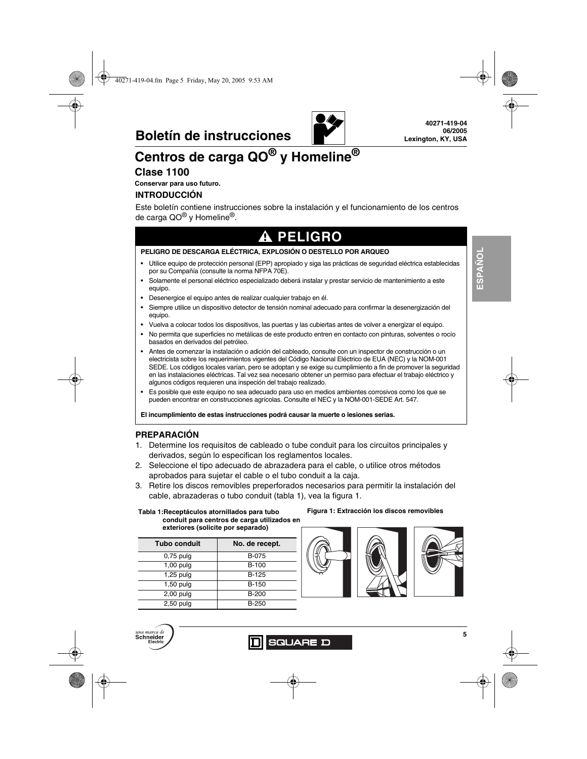

# **Centros de carga QO® y Homeline®**

## **Clase 1100**

**Conservar para uso futuro.**

## **INTRODUCCIÓN**

Este boletín contiene instrucciones sobre la instalación y el funcionamiento de los centros de carga QO® y Homeline®.

# **A PELIGRO**

#### **PELIGRO DE DESCARGA ELÉCTRICA, EXPLOSIÓN O DESTELLO POR ARQUEO**

- Utilice equipo de protección personal (EPP) apropiado y siga las prácticas de seguridad eléctrica establecidas por su Compañía (consulte la norma NFPA 70E).
- Solamente el personal eléctrico especializado deberá instalar y prestar servicio de mantenimiento a este equipo.
- Desenergice el equipo antes de realizar cualquier trabajo en él.
- Siempre utilice un dispositivo detector de tensión nominal adecuado para confirmar la desenergización del equipo.
- Vuelva a colocar todos los dispositivos, las puertas y las cubiertas antes de volver a energizar el equipo.
- No permita que superficies no metálicas de este producto entren en contacto con pinturas, solventes o rocío basados en derivados del petróleo.
- Antes de comenzar la instalación o adición del cableado, consulte con un inspector de construcción o un electricista sobre los requerimientos vigentes del Código Nacional Eléctrico de EUA (NEC) y la NOM-001 SEDE. Los códigos locales varían, pero se adoptan y se exige su cumplimiento a fin de promover la seguridad en las instalaciones eléctricas. Tal vez sea necesario obtener un permiso para efectuar el trabajo eléctrico y algunos códigos requieren una inspeción del trabajo realizado.
- Es posible que este equipo no sea adecuado para uso en medios ambientes corrosivos como los que se pueden encontrar en construcciones agrícolas. Consulte el NEC y la NOM-001-SEDE Art. 547.

**El incumplimiento de estas instrucciones podrá causar la muerte o lesiones serias.**

## **PREPARACIÓN**

- 1. Determine los requisitos de cableado o tube conduit para los circuitos principales y derivados, según lo especifican los reglamentos locales.
- 2. Seleccione el tipo adecuado de abrazadera para el cable, o utilice otros métodos aprobados para sujetar el cable o el tubo conduit a la caja.
- 3. Retire los discos removibles preperforados necesarios para permitir la instalación del cable, abrazaderas o tubo conduit (tabla 1), vea la figura 1.

**Tabla 1:Receptáculos atornillados para tubo Figura 1: Extracción los discos removibles conduit para centros de carga utilizados en exteriores (solicite por separado)**

| <b>Tubo conduit</b> | No. de recept. |
|---------------------|----------------|
| $0.75$ pulg         | B-075          |
| $1,00$ pulg         | B-100          |
| 1,25 pulg           | B-125          |
| $1,50$ pulg         | B-150          |
| $2,00$ pulg         | $B-200$        |
| $2,50$ pulg         | B-250          |









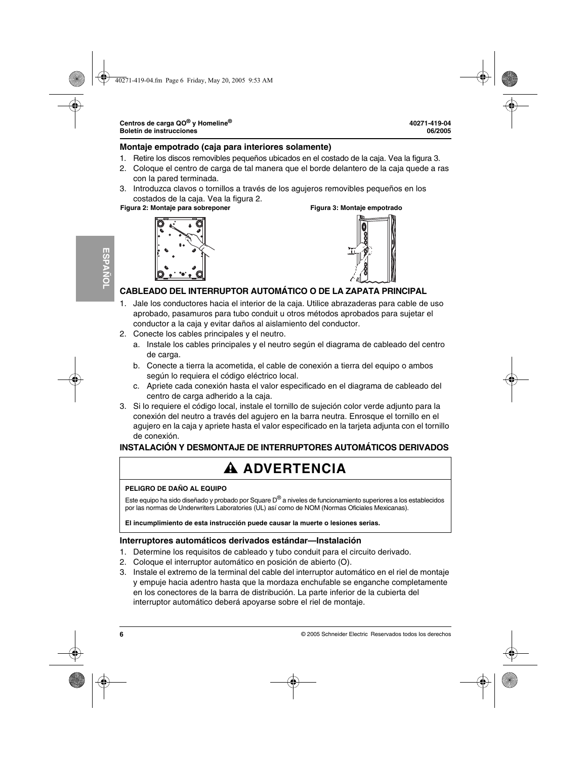## **Montaje empotrado (caja para interiores solamente)**

- 1. Retire los discos removibles pequeños ubicados en el costado de la caja. Vea la figura 3.
- 2. Coloque el centro de carga de tal manera que el borde delantero de la caja quede a ras con la pared terminada.
- 3. Introduzca clavos o tornillos a través de los agujeros removibles pequeños en los costados de la caja. Vea la figura 2.

#### **Figura 2: Montaje para sobreponer Figura 3: Montaje empotrado**





## **CABLEADO DEL INTERRUPTOR AUTOMÁTICO O DE LA ZAPATA PRINCIPAL**

- 1. Jale los conductores hacia el interior de la caja. Utilice abrazaderas para cable de uso aprobado, pasamuros para tubo conduit u otros métodos aprobados para sujetar el conductor a la caja y evitar daños al aislamiento del conductor.
- 2. Conecte los cables principales y el neutro.
	- a. Instale los cables principales y el neutro según el diagrama de cableado del centro de carga.
	- b. Conecte a tierra la acometida, el cable de conexión a tierra del equipo o ambos según lo requiera el código eléctrico local.
	- c. Apriete cada conexión hasta el valor especificado en el diagrama de cableado del centro de carga adherido a la caja.
- 3. Si lo requiere el código local, instale el tornillo de sujeción color verde adjunto para la conexión del neutro a través del agujero en la barra neutra. Enrosque el tornillo en el agujero en la caja y apriete hasta el valor especificado en la tarjeta adjunta con el tornillo de conexión.

## **INSTALACIÓN Y DESMONTAJE DE INTERRUPTORES AUTOMÁTICOS DERIVADOS**

# **ADVERTENCIA**

#### **PELIGRO DE DAÑO AL EQUIPO**

Este equipo ha sido diseñado y probado por Square D® a niveles de funcionamiento superiores a los establecidos por las normas de Underwriters Laboratories (UL) así como de NOM (Normas Oficiales Mexicanas).

**El incumplimiento de esta instrucción puede causar la muerte o lesiones serias.**

## **Interruptores automáticos derivados estándar—Instalación**

- 1. Determine los requisitos de cableado y tubo conduit para el circuito derivado.
- 2. Coloque el interruptor automático en posición de abierto (O).
- 3. Instale el extremo de la terminal del cable del interruptor automático en el riel de montaje y empuje hacia adentro hasta que la mordaza enchufable se enganche completamente en los conectores de la barra de distribución. La parte inferior de la cubierta del interruptor automático deberá apoyarse sobre el riel de montaje.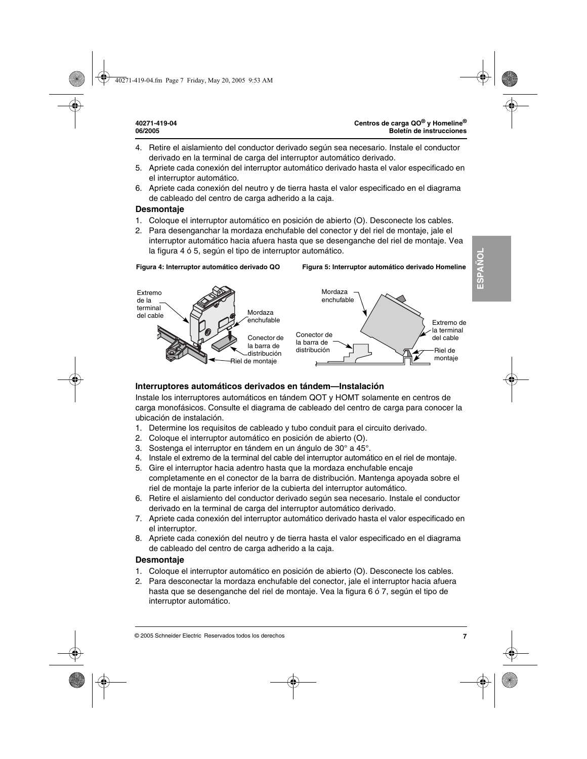- 4. Retire el aislamiento del conductor derivado según sea necesario. Instale el conductor derivado en la terminal de carga del interruptor automático derivado.
- 5. Apriete cada conexión del interruptor automático derivado hasta el valor especificado en el interruptor automático.
- 6. Apriete cada conexión del neutro y de tierra hasta el valor especificado en el diagrama de cableado del centro de carga adherido a la caja.

## **Desmontaje**

- 1. Coloque el interruptor automático en posición de abierto (O). Desconecte los cables.
- 2. Para desenganchar la mordaza enchufable del conector y del riel de montaje, jale el interruptor automático hacia afuera hasta que se desenganche del riel de montaje. Vea la figura 4 ó 5, según el tipo de interruptor automático.



## **Interruptores automáticos derivados en tándem—Instalación**

Instale los interruptores automáticos en tándem QOT y HOMT solamente en centros de carga monofásicos. Consulte el diagrama de cableado del centro de carga para conocer la ubicación de instalación.

- 1. Determine los requisitos de cableado y tubo conduit para el circuito derivado.
- 2. Coloque el interruptor automático en posición de abierto (O).
- 3. Sostenga el interruptor en tándem en un ángulo de 30° a 45°.
- 4. Instale el extremo de la terminal del cable del interruptor automático en el riel de montaje.
- 5. Gire el interruptor hacia adentro hasta que la mordaza enchufable encaje completamente en el conector de la barra de distribución. Mantenga apoyada sobre el riel de montaje la parte inferior de la cubierta del interruptor automático.
- 6. Retire el aislamiento del conductor derivado según sea necesario. Instale el conductor derivado en la terminal de carga del interruptor automático derivado.
- 7. Apriete cada conexión del interruptor automático derivado hasta el valor especificado en el interruptor.
- 8. Apriete cada conexión del neutro y de tierra hasta el valor especificado en el diagrama de cableado del centro de carga adherido a la caja.

## **Desmontaje**

- 1. Coloque el interruptor automático en posición de abierto (O). Desconecte los cables.
- 2. Para desconectar la mordaza enchufable del conector, jale el interruptor hacia afuera hasta que se desenganche del riel de montaje. Vea la figura 6 ó 7, según el tipo de interruptor automático.